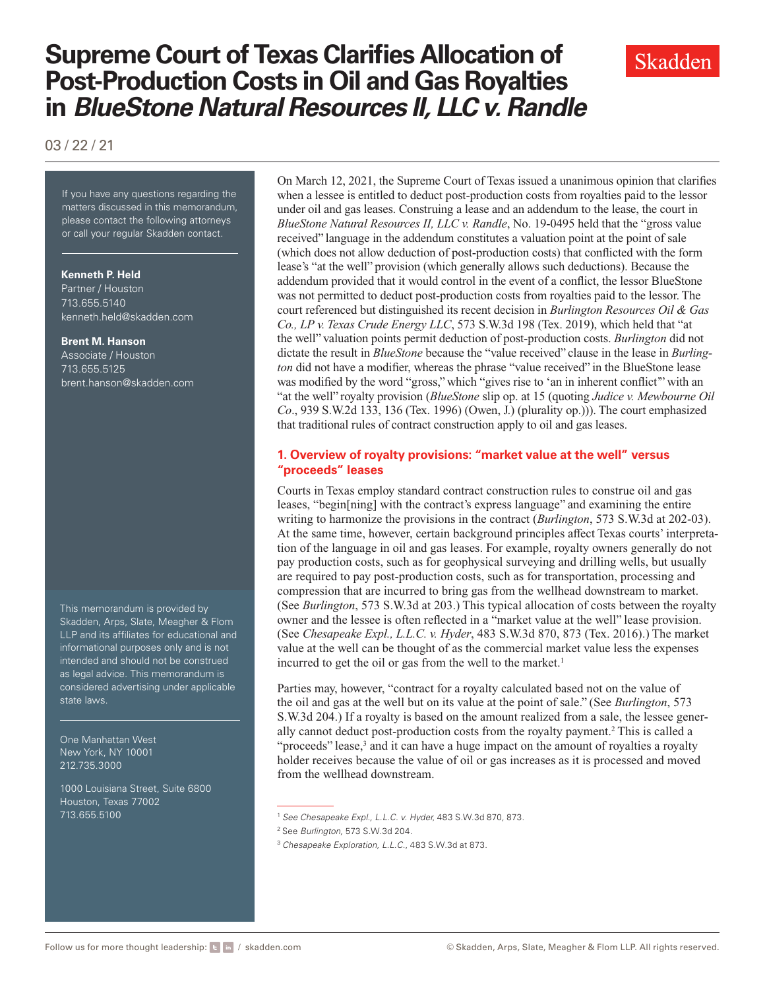# **Supreme Court of Texas Clarifies Allocation of Post-Production Costs in Oil and Gas Royalties in** *BlueStone Natural Resources II, LLC v. Randle*

03 / 22 / 21

If you have any questions regarding the matters discussed in this memorandum, please contact the following attorneys or call your regular Skadden contact.

#### **Kenneth P. Held**

Partner / Houston 713.655.5140 [kenneth.held@skadden.com](mailto: kenneth.held@skadden.com)

#### **Brent M. Hanson**

Associate / Houston 713.655.5125 [brent.hanson@skadden.com](mailto: brent.hanson@skadden.com)

This memorandum is provided by Skadden, Arps, Slate, Meagher & Flom LLP and its affiliates for educational and informational purposes only and is not intended and should not be construed as legal advice. This memorandum is considered advertising under applicable state laws.

One Manhattan West New York, NY 10001 212.735.3000

1000 Louisiana Street, Suite 6800 Houston, Texas 77002 713.655.5100

On March 12, 2021, the Supreme Court of Texas issued a unanimous opinion that clarifies when a lessee is entitled to deduct post-production costs from royalties paid to the lessor under oil and gas leases. Construing a lease and an addendum to the lease, the court in *BlueStone Natural Resources II, LLC v. Randle*, No. 19-0495 held that the "gross value received" language in the addendum constitutes a valuation point at the point of sale (which does not allow deduction of post-production costs) that conflicted with the form lease's "at the well" provision (which generally allows such deductions). Because the addendum provided that it would control in the event of a conflict, the lessor BlueStone was not permitted to deduct post-production costs from royalties paid to the lessor. The court referenced but distinguished its recent decision in *Burlington Resources Oil & Gas Co., LP v. Texas Crude Energy LLC*, 573 S.W.3d 198 (Tex. 2019), which held that "at the well" valuation points permit deduction of post-production costs. *Burlington* did not dictate the result in *BlueStone* because the "value received" clause in the lease in *Burlington* did not have a modifier, whereas the phrase "value received" in the BlueStone lease was modified by the word "gross," which "gives rise to 'an in inherent conflict" with an "at the well" royalty provision (*BlueStone* slip op. at 15 (quoting *Judice v. Mewbourne Oil Co*., 939 S.W.2d 133, 136 (Tex. 1996) (Owen, J.) (plurality op.))). The court emphasized that traditional rules of contract construction apply to oil and gas leases.

### **1. Overview of royalty provisions: "market value at the well" versus "proceeds" leases**

Courts in Texas employ standard contract construction rules to construe oil and gas leases, "begin[ning] with the contract's express language" and examining the entire writing to harmonize the provisions in the contract (*Burlington*, 573 S.W.3d at 202-03). At the same time, however, certain background principles affect Texas courts' interpretation of the language in oil and gas leases. For example, royalty owners generally do not pay production costs, such as for geophysical surveying and drilling wells, but usually are required to pay post-production costs, such as for transportation, processing and compression that are incurred to bring gas from the wellhead downstream to market. (See *Burlington*, 573 S.W.3d at 203.) This typical allocation of costs between the royalty owner and the lessee is often reflected in a "market value at the well" lease provision. (See *Chesapeake Expl., L.L.C. v. Hyder*, 483 S.W.3d 870, 873 (Tex. 2016).) The market value at the well can be thought of as the commercial market value less the expenses incurred to get the oil or gas from the well to the market.<sup>1</sup>

Parties may, however, "contract for a royalty calculated based not on the value of the oil and gas at the well but on its value at the point of sale." (See *Burlington*, 573 S.W.3d 204.) If a royalty is based on the amount realized from a sale, the lessee generally cannot deduct post-production costs from the royalty payment.2 This is called a "proceeds" lease,<sup>3</sup> and it can have a huge impact on the amount of royalties a royalty holder receives because the value of oil or gas increases as it is processed and moved from the wellhead downstream.



<sup>1</sup> *See Chesapeake Expl., L.L.C. v. Hyder,* 483 S.W.3d 870, 873.

<sup>2</sup> See *Burlington,* 573 S.W.3d 204.

<sup>3</sup> *Chesapeake Exploration, L.L.C*., 483 S.W.3d at 873.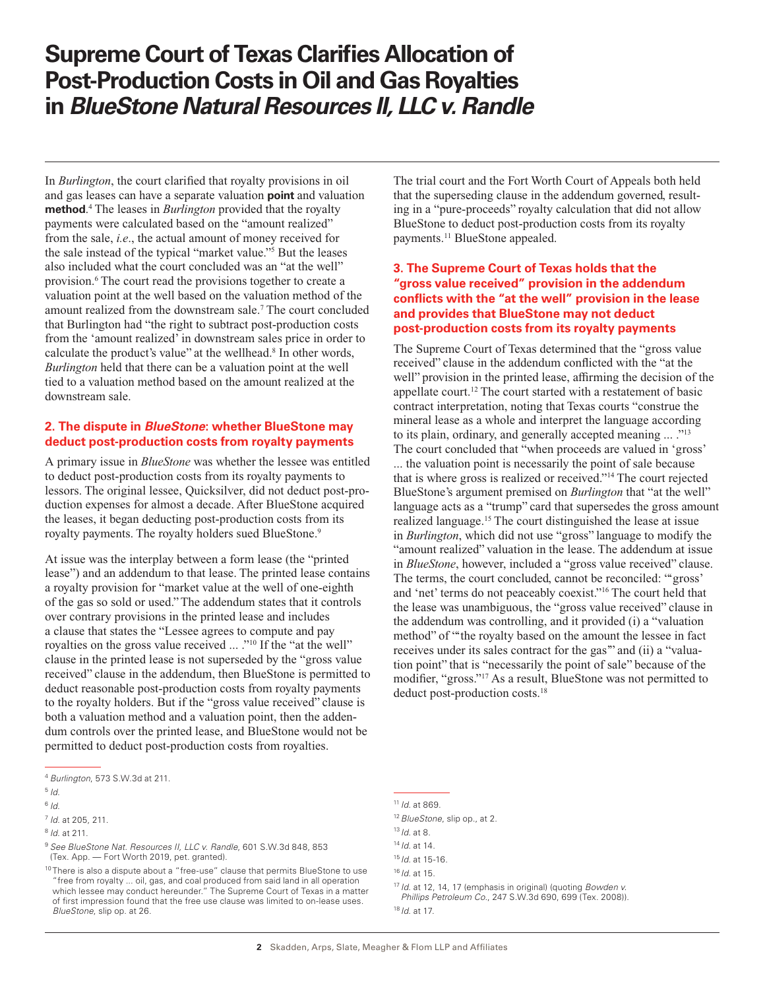## **Supreme Court of Texas Clarifies Allocation of Post-Production Costs in Oil and Gas Royalties in** *BlueStone Natural Resources II, LLC v. Randle*

In *Burlington*, the court clarified that royalty provisions in oil and gas leases can have a separate valuation **point** and valuation **method**. 4 The leases in *Burlington* provided that the royalty payments were calculated based on the "amount realized" from the sale, *i.e*., the actual amount of money received for the sale instead of the typical "market value."5 But the leases also included what the court concluded was an "at the well" provision.<sup>6</sup> The court read the provisions together to create a valuation point at the well based on the valuation method of the amount realized from the downstream sale.<sup>7</sup> The court concluded that Burlington had "the right to subtract post-production costs from the 'amount realized' in downstream sales price in order to calculate the product's value" at the wellhead.<sup>8</sup> In other words, *Burlington* held that there can be a valuation point at the well tied to a valuation method based on the amount realized at the downstream sale.

### **2. The dispute in** *BlueStone***: whether BlueStone may deduct post-production costs from royalty payments**

A primary issue in *BlueStone* was whether the lessee was entitled to deduct post-production costs from its royalty payments to lessors. The original lessee, Quicksilver, did not deduct post-production expenses for almost a decade. After BlueStone acquired the leases, it began deducting post-production costs from its royalty payments. The royalty holders sued BlueStone.<sup>9</sup>

At issue was the interplay between a form lease (the "printed lease") and an addendum to that lease. The printed lease contains a royalty provision for "market value at the well of one-eighth of the gas so sold or used." The addendum states that it controls over contrary provisions in the printed lease and includes a clause that states the "Lessee agrees to compute and pay royalties on the gross value received ... ."10 If the "at the well" clause in the printed lease is not superseded by the "gross value received" clause in the addendum, then BlueStone is permitted to deduct reasonable post-production costs from royalty payments to the royalty holders. But if the "gross value received" clause is both a valuation method and a valuation point, then the addendum controls over the printed lease, and BlueStone would not be permitted to deduct post-production costs from royalties.

The trial court and the Fort Worth Court of Appeals both held that the superseding clause in the addendum governed, resulting in a "pure-proceeds" royalty calculation that did not allow BlueStone to deduct post-production costs from its royalty payments.<sup>11</sup> BlueStone appealed.

### **3. The Supreme Court of Texas holds that the "gross value received" provision in the addendum conflicts with the "at the well" provision in the lease and provides that BlueStone may not deduct post-production costs from its royalty payments**

The Supreme Court of Texas determined that the "gross value received" clause in the addendum conflicted with the "at the well" provision in the printed lease, affirming the decision of the appellate court.12 The court started with a restatement of basic contract interpretation, noting that Texas courts "construe the mineral lease as a whole and interpret the language according to its plain, ordinary, and generally accepted meaning ... ."<sup>13</sup> The court concluded that "when proceeds are valued in 'gross' ... the valuation point is necessarily the point of sale because that is where gross is realized or received."14 The court rejected BlueStone's argument premised on *Burlington* that "at the well" language acts as a "trump" card that supersedes the gross amount realized language.15 The court distinguished the lease at issue in *Burlington*, which did not use "gross" language to modify the "amount realized" valuation in the lease. The addendum at issue in *BlueStone*, however, included a "gross value received" clause. The terms, the court concluded, cannot be reconciled: "'gross' and 'net' terms do not peaceably coexist."16 The court held that the lease was unambiguous, the "gross value received" clause in the addendum was controlling, and it provided (i) a "valuation method" of "the royalty based on the amount the lessee in fact receives under its sales contract for the gas" and (ii) a "valuation point" that is "necessarily the point of sale" because of the modifier, "gross."17 As a result, BlueStone was not permitted to deduct post-production costs.<sup>18</sup>

<sup>4</sup> *Burlington*, 573 S.W.3d at 211.

<sup>5</sup> *Id.*

 $6/d.$ 

<sup>7</sup> *Id.* at 205, 211.

<sup>8</sup> *Id.* at 211.

<sup>9</sup> *See BlueStone Nat. Resources II, LLC v. Randle*, 601 S.W.3d 848, 853 (Tex. App. — Fort Worth 2019, pet. granted).

<sup>&</sup>lt;sup>10</sup> There is also a dispute about a "free-use" clause that permits BlueStone to use "free from royalty ... oil, gas, and coal produced from said land in all operation which lessee may conduct hereunder." The Supreme Court of Texas in a matter of first impression found that the free use clause was limited to on-lease uses. *BlueStone*, slip op. at 26.

<sup>11</sup> *Id.* at 869.

<sup>12</sup>*BlueStone*, slip op., at 2.

<sup>13</sup> *Id.* at 8.

<sup>14</sup> *Id.* at 14.

<sup>15</sup> *Id.* at 15-16.

<sup>16</sup> *Id.* at 15.

<sup>17</sup> *Id*. at 12, 14, 17 (emphasis in original) (quoting *Bowden v. Phillips Petroleum Co*., 247 S.W.3d 690, 699 (Tex. 2008)). <sup>18</sup> *Id*. at 17.